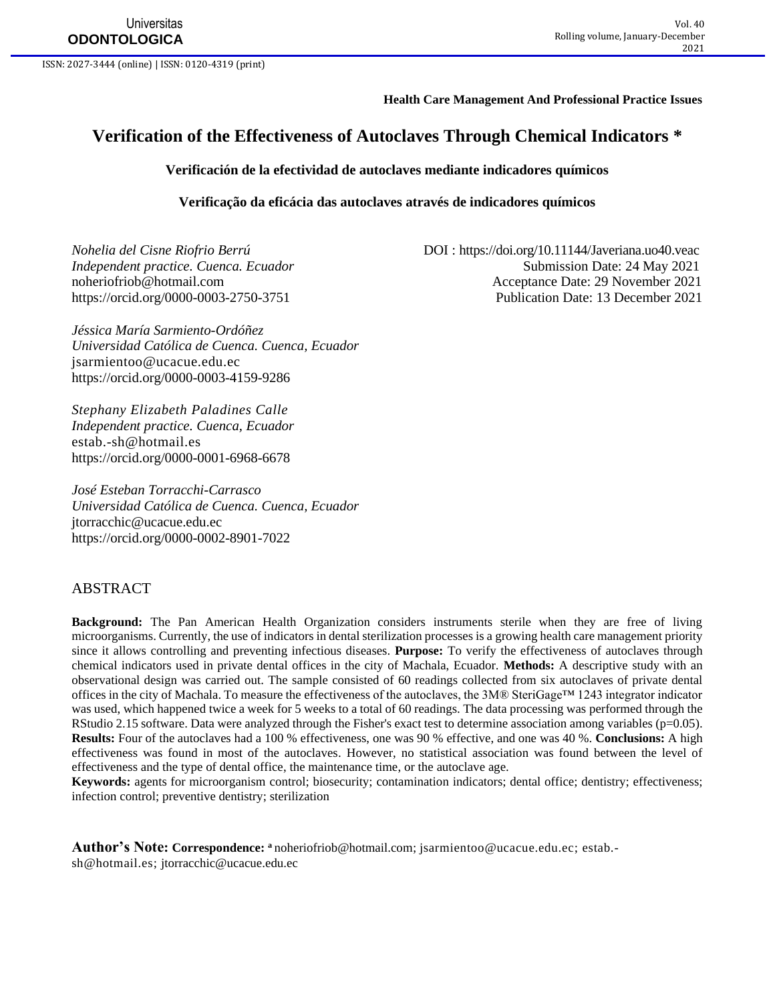**Universitas ODONTOLOGICA**

ISSN: 2027-3444 (online) | ISSN: 0120-4319 (print)

#### **Health Care Management And Professional Practice Issues**

# **Verification of the Effectiveness of Autoclaves Through Chemical Indicators \***

### **Verificación de la efectividad de autoclaves mediante indicadores químicos**

**Verificação da eficácia das autoclaves através de indicadores químicos**

*Nohelia del Cisne Riofrio Berrú* DOI :<https://doi.org/10.11144/Javeriana.uo40.veac> *Independent practice. Cuenca. Ecuador* Submission Date: 24 May 2021 [noheriofriob@hotmail.com](mailto:noheriofriob@hotmail.com) Acceptance Date: 29 November 2021 <https://orcid.org/0000-0003-2750-3751> Publication Date: 13 December 2021

*Jéssica María Sarmiento-Ordóñez Universidad Católica de Cuenca. Cuenca, Ecuador* [jsarmientoo@ucacue.edu.ec](mailto:jsarmientoo@ucacue.edu.ec) <https://orcid.org/0000-0003-4159-9286>

*Stephany Elizabeth Paladines Calle Independent practice. Cuenca, Ecuador* [estab.-sh@hotmail.es](mailto:estab.-sh@hotmail.es) <https://orcid.org/0000-0001-6968-6678>

*José Esteban Torracchi-Carrasco Universidad Católica de Cuenca. Cuenca, Ecuador* [jtorracchic@ucacue.edu.ec](mailto:jtorracchic@ucacue.edu.ec) <https://orcid.org/0000-0002-8901-7022>

## ABSTRACT

**Background:** The Pan American Health Organization considers instruments sterile when they are free of living microorganisms. Currently, the use of indicators in dental sterilization processes is a growing health care management priority since it allows controlling and preventing infectious diseases. **Purpose:** To verify the effectiveness of autoclaves through chemical indicators used in private dental offices in the city of Machala, Ecuador. **Methods:** A descriptive study with an observational design was carried out. The sample consisted of 60 readings collected from six autoclaves of private dental offices in the city of Machala. To measure the effectiveness of the autoclaves, the 3M® SteriGage™ 1243 integrator indicator was used, which happened twice a week for 5 weeks to a total of 60 readings. The data processing was performed through the RStudio 2.15 software. Data were analyzed through the Fisher's exact test to determine association among variables (p=0.05). **Results:** Four of the autoclaves had a 100 % effectiveness, one was 90 % effective, and one was 40 %. **Conclusions:** A high effectiveness was found in most of the autoclaves. However, no statistical association was found between the level of effectiveness and the type of dental office, the maintenance time, or the autoclave age.

**Keywords:** agents for microorganism control; biosecurity; contamination indicators; dental office; dentistry; effectiveness; infection control; preventive dentistry; sterilization

**Author's Note: Correspondence: <sup>a</sup>** [noheriofriob@hotmail.com;](mailto:noheriofriob@hotmail.com) [jsarmientoo@ucacue.edu.ec;](mailto:jsarmientoo@ucacue.edu.ec) [estab.](mailto:estab.-sh@hotmail.es) [sh@hotmail.es;](mailto:estab.-sh@hotmail.es) [jtorracchic@ucacue.edu.ec](mailto:jtorracchic@ucacue.edu.ec)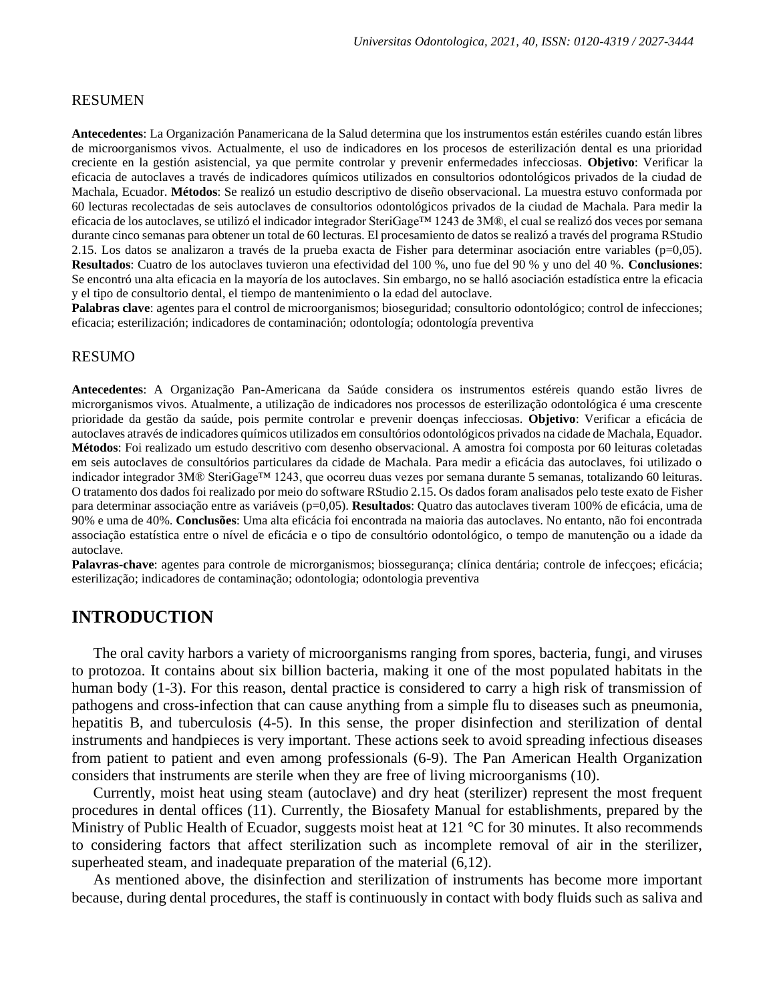### RESUMEN

**Antecedentes**: La Organización Panamericana de la Salud determina que los instrumentos están estériles cuando están libres de microorganismos vivos. Actualmente, el uso de indicadores en los procesos de esterilización dental es una prioridad creciente en la gestión asistencial, ya que permite controlar y prevenir enfermedades infecciosas. **Objetivo**: Verificar la eficacia de autoclaves a través de indicadores químicos utilizados en consultorios odontológicos privados de la ciudad de Machala, Ecuador. **Métodos**: Se realizó un estudio descriptivo de diseño observacional. La muestra estuvo conformada por 60 lecturas recolectadas de seis autoclaves de consultorios odontológicos privados de la ciudad de Machala. Para medir la eficacia de los autoclaves, se utilizó el indicador integrador SteriGage™ 1243 de 3M®, el cual se realizó dos veces por semana durante cinco semanas para obtener un total de 60 lecturas. El procesamiento de datos se realizó a través del programa RStudio 2.15. Los datos se analizaron a través de la prueba exacta de Fisher para determinar asociación entre variables ( $p=0,05$ ). **Resultados**: Cuatro de los autoclaves tuvieron una efectividad del 100 %, uno fue del 90 % y uno del 40 %. **Conclusiones**: Se encontró una alta eficacia en la mayoría de los autoclaves. Sin embargo, no se halló asociación estadística entre la eficacia y el tipo de consultorio dental, el tiempo de mantenimiento o la edad del autoclave.

**Palabras clave**: agentes para el control de microorganismos; bioseguridad; consultorio odontológico; control de infecciones; eficacia; esterilización; indicadores de contaminación; odontología; odontología preventiva

## RESUMO

**Antecedentes**: A Organização Pan-Americana da Saúde considera os instrumentos estéreis quando estão livres de microrganismos vivos. Atualmente, a utilização de indicadores nos processos de esterilização odontológica é uma crescente prioridade da gestão da saúde, pois permite controlar e prevenir doenças infecciosas. **Objetivo**: Verificar a eficácia de autoclaves através de indicadores químicos utilizados em consultórios odontológicos privados na cidade de Machala, Equador. **Métodos**: Foi realizado um estudo descritivo com desenho observacional. A amostra foi composta por 60 leituras coletadas em seis autoclaves de consultórios particulares da cidade de Machala. Para medir a eficácia das autoclaves, foi utilizado o indicador integrador 3M® SteriGage™ 1243, que ocorreu duas vezes por semana durante 5 semanas, totalizando 60 leituras. O tratamento dos dados foi realizado por meio do software RStudio 2.15. Os dados foram analisados pelo teste exato de Fisher para determinar associação entre as variáveis (p=0,05). **Resultados**: Quatro das autoclaves tiveram 100% de eficácia, uma de 90% e uma de 40%. **Conclusões**: Uma alta eficácia foi encontrada na maioria das autoclaves. No entanto, não foi encontrada associação estatística entre o nível de eficácia e o tipo de consultório odontológico, o tempo de manutenção ou a idade da autoclave.

**Palavras-chave**: agentes para controle de microrganismos; biossegurança; clínica dentária; controle de infecçoes; eficácia; esterilização; indicadores de contaminação; odontologia; odontologia preventiva

## **INTRODUCTION**

The oral cavity harbors a variety of microorganisms ranging from spores, bacteria, fungi, and viruses to protozoa. It contains about six billion bacteria, making it one of the most populated habitats in the human body (1-3). For this reason, dental practice is considered to carry a high risk of transmission of pathogens and cross-infection that can cause anything from a simple flu to diseases such as pneumonia, hepatitis B, and tuberculosis (4-5). In this sense, the proper disinfection and sterilization of dental instruments and handpieces is very important. These actions seek to avoid spreading infectious diseases from patient to patient and even among professionals (6-9). The Pan American Health Organization considers that instruments are sterile when they are free of living microorganisms (10).

Currently, moist heat using steam (autoclave) and dry heat (sterilizer) represent the most frequent procedures in dental offices (11). Currently, the Biosafety Manual for establishments, prepared by the Ministry of Public Health of Ecuador, suggests moist heat at 121 °C for 30 minutes. It also recommends to considering factors that affect sterilization such as incomplete removal of air in the sterilizer, superheated steam, and inadequate preparation of the material (6,12).

As mentioned above, the disinfection and sterilization of instruments has become more important because, during dental procedures, the staff is continuously in contact with body fluids such as saliva and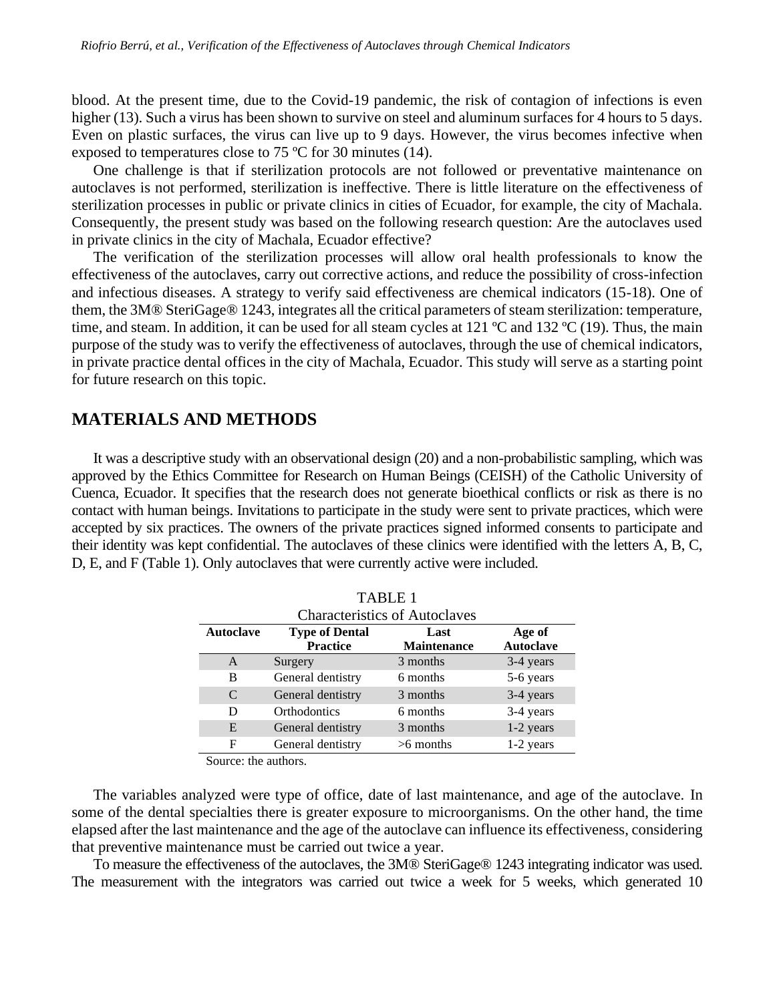blood. At the present time, due to the Covid-19 pandemic, the risk of contagion of infections is even higher (13). Such a virus has been shown to survive on steel and aluminum surfaces for 4 hours to 5 days. Even on plastic surfaces, the virus can live up to 9 days. However, the virus becomes infective when exposed to temperatures close to 75 ºC for 30 minutes (14).

One challenge is that if sterilization protocols are not followed or preventative maintenance on autoclaves is not performed, sterilization is ineffective. There is little literature on the effectiveness of sterilization processes in public or private clinics in cities of Ecuador, for example, the city of Machala. Consequently, the present study was based on the following research question: Are the autoclaves used in private clinics in the city of Machala, Ecuador effective?

The verification of the sterilization processes will allow oral health professionals to know the effectiveness of the autoclaves, carry out corrective actions, and reduce the possibility of cross-infection and infectious diseases. A strategy to verify said effectiveness are chemical indicators (15-18). One of them, the 3M® SteriGage® 1243, integrates all the critical parameters of steam sterilization: temperature, time, and steam. In addition, it can be used for all steam cycles at 121 °C and 132 °C (19). Thus, the main purpose of the study was to verify the effectiveness of autoclaves, through the use of chemical indicators, in private practice dental offices in the city of Machala, Ecuador. This study will serve as a starting point for future research on this topic.

# **MATERIALS AND METHODS**

It was a descriptive study with an observational design (20) and a non-probabilistic sampling, which was approved by the Ethics Committee for Research on Human Beings (CEISH) of the Catholic University of Cuenca, Ecuador. It specifies that the research does not generate bioethical conflicts or risk as there is no contact with human beings. Invitations to participate in the study were sent to private practices, which were accepted by six practices. The owners of the private practices signed informed consents to participate and their identity was kept confidential. The autoclaves of these clinics were identified with the letters A, B, C, D, E, and F (Table 1). Only autoclaves that were currently active were included.

| <b>TABLE 1</b>                       |                       |                    |                  |  |
|--------------------------------------|-----------------------|--------------------|------------------|--|
| <b>Characteristics of Autoclaves</b> |                       |                    |                  |  |
| <b>Autoclave</b>                     | <b>Type of Dental</b> | Last               | Age of           |  |
|                                      | <b>Practice</b>       | <b>Maintenance</b> | <b>Autoclave</b> |  |
| A                                    | Surgery               | 3 months           | 3-4 years        |  |
| в                                    | General dentistry     | 6 months           | 5-6 years        |  |
| C                                    | General dentistry     | 3 months           | 3-4 years        |  |
| D                                    | Orthodontics          | 6 months           | 3-4 years        |  |
| E                                    | General dentistry     | 3 months           | $1-2$ years      |  |
| F                                    | General dentistry     | $>6$ months        | $1-2$ years      |  |

Source: the authors.

The variables analyzed were type of office, date of last maintenance, and age of the autoclave. In some of the dental specialties there is greater exposure to microorganisms. On the other hand, the time elapsed after the last maintenance and the age of the autoclave can influence its effectiveness, considering that preventive maintenance must be carried out twice a year.

To measure the effectiveness of the autoclaves, the 3M® SteriGage® 1243 integrating indicator was used. The measurement with the integrators was carried out twice a week for 5 weeks, which generated 10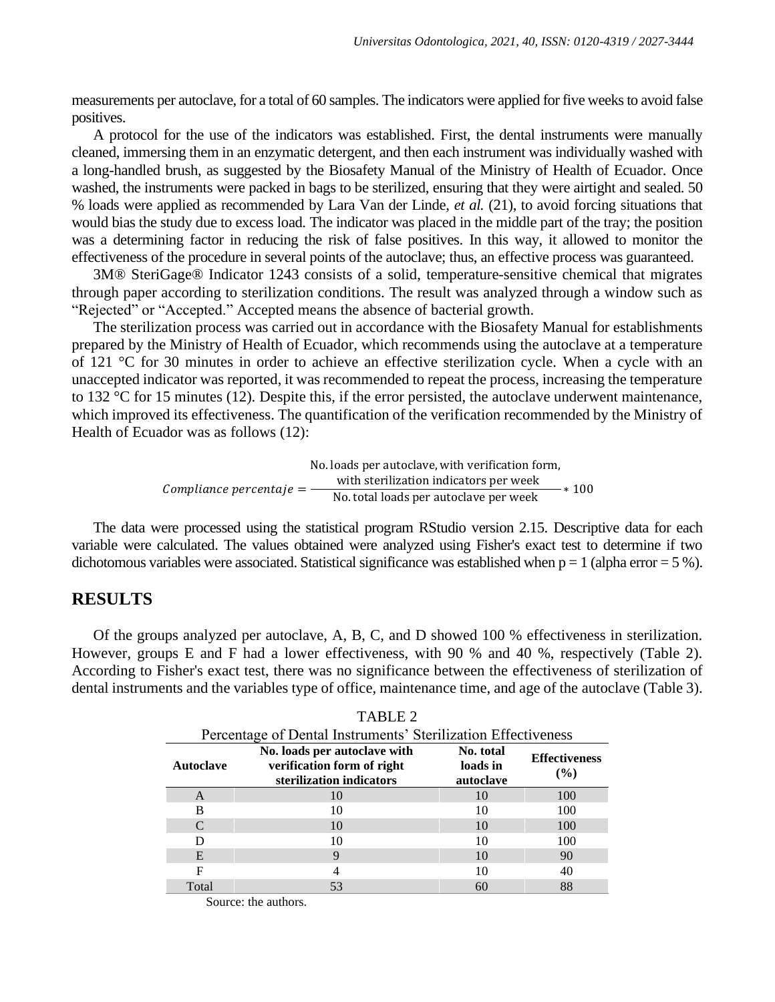measurements per autoclave, for a total of 60 samples. The indicators were applied for five weeks to avoid false positives.

A protocol for the use of the indicators was established. First, the dental instruments were manually cleaned, immersing them in an enzymatic detergent, and then each instrument was individually washed with a long-handled brush, as suggested by the Biosafety Manual of the Ministry of Health of Ecuador. Once washed, the instruments were packed in bags to be sterilized, ensuring that they were airtight and sealed. 50 % loads were applied as recommended by Lara Van der Linde, *et al.* (21), to avoid forcing situations that would bias the study due to excess load. The indicator was placed in the middle part of the tray; the position was a determining factor in reducing the risk of false positives. In this way, it allowed to monitor the effectiveness of the procedure in several points of the autoclave; thus, an effective process was guaranteed.

3M® SteriGage® Indicator 1243 consists of a solid, temperature-sensitive chemical that migrates through paper according to sterilization conditions. The result was analyzed through a window such as "Rejected" or "Accepted." Accepted means the absence of bacterial growth.

The sterilization process was carried out in accordance with the Biosafety Manual for establishments prepared by the Ministry of Health of Ecuador, which recommends using the autoclave at a temperature of 121 °C for 30 minutes in order to achieve an effective sterilization cycle. When a cycle with an unaccepted indicator was reported, it was recommended to repeat the process, increasing the temperature to 132 °C for 15 minutes (12). Despite this, if the error persisted, the autoclave underwent maintenance, which improved its effectiveness. The quantification of the verification recommended by the Ministry of Health of Ecuador was as follows (12):

> Compliance percentaje  $=$   $-$ No. loads per autoclave, with verification form, with sterilization indicators per week Null sterm zaubit multiaturs per week<br>No. total loads per autoclave per week ∗ 100

The data were processed using the statistical program RStudio version 2.15. Descriptive data for each variable were calculated. The values obtained were analyzed using Fisher's exact test to determine if two dichotomous variables were associated. Statistical significance was established when  $p = 1$  (alpha error = 5 %).

## **RESULTS**

Of the groups analyzed per autoclave, A, B, C, and D showed 100 % effectiveness in sterilization. However, groups E and F had a lower effectiveness, with 90 % and 40 %, respectively (Table 2). According to Fisher's exact test, there was no significance between the effectiveness of sterilization of dental instruments and the variables type of office, maintenance time, and age of the autoclave (Table 3).

|                  | Percentage of Dental Instruments' Sterilization Effectiveness                          |                                    |                                |  |  |
|------------------|----------------------------------------------------------------------------------------|------------------------------------|--------------------------------|--|--|
| <b>Autoclave</b> | No. loads per autoclave with<br>verification form of right<br>sterilization indicators | No. total<br>loads in<br>autoclave | <b>Effectiveness</b><br>$(\%)$ |  |  |
| A                | 10                                                                                     | 10                                 | 100                            |  |  |
| в                | 10                                                                                     |                                    | 100                            |  |  |
| C                | 10                                                                                     | 10                                 | 100                            |  |  |
|                  | 10                                                                                     | 10                                 | 100                            |  |  |
| E                | 9                                                                                      | 10                                 | 90                             |  |  |
| F                |                                                                                        |                                    | 40                             |  |  |
| Total            | 53                                                                                     |                                    | 88                             |  |  |

TABLE 2

Source: the authors.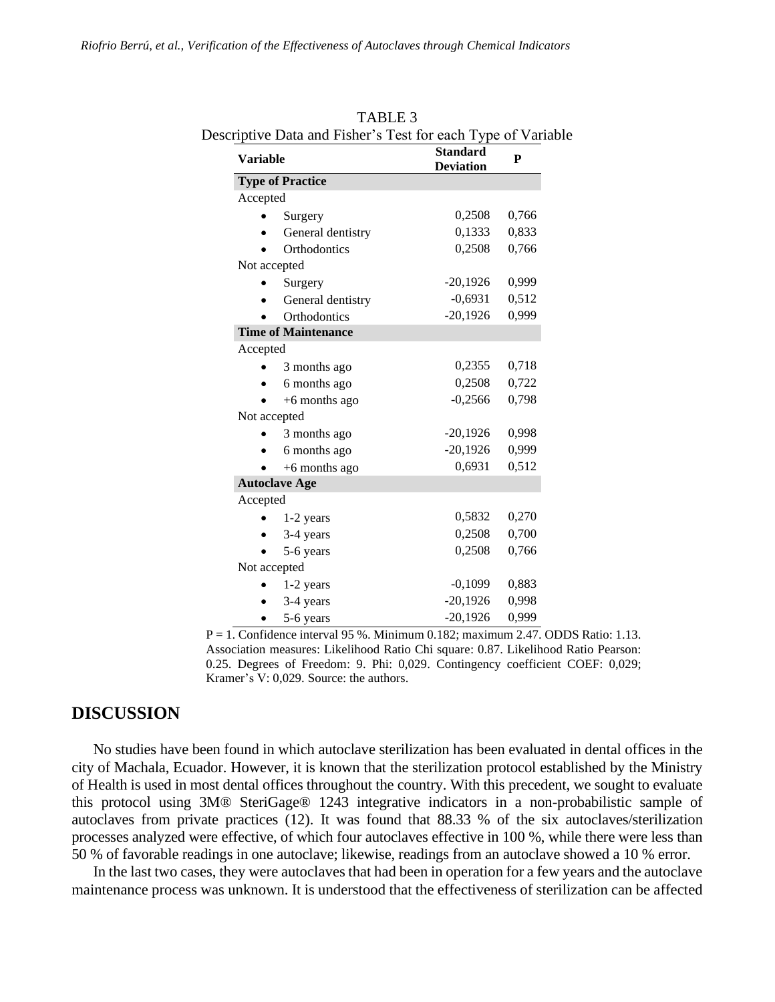| <b>Variable</b> |                            | <b>Standard</b><br><b>Deviation</b> | P     |
|-----------------|----------------------------|-------------------------------------|-------|
|                 | <b>Type of Practice</b>    |                                     |       |
| Accepted        |                            |                                     |       |
|                 | Surgery                    | 0,2508                              | 0,766 |
|                 | General dentistry          | 0,1333                              | 0,833 |
|                 | <b>Orthodontics</b>        | 0,2508                              | 0,766 |
| Not accepted    |                            |                                     |       |
|                 | Surgery                    | $-20,1926$                          | 0,999 |
|                 | General dentistry          | $-0,6931$                           | 0,512 |
|                 | Orthodontics               | $-20,1926$                          | 0,999 |
|                 | <b>Time of Maintenance</b> |                                     |       |
| Accepted        |                            |                                     |       |
|                 | 3 months ago               | 0,2355                              | 0,718 |
|                 | 6 months ago               | 0,2508                              | 0,722 |
|                 | $+6$ months ago            | $-0,2566$                           | 0,798 |
| Not accepted    |                            |                                     |       |
|                 | 3 months ago               | $-20,1926$                          | 0,998 |
|                 | 6 months ago               | $-20,1926$                          | 0,999 |
|                 | $+6$ months ago            | 0,6931                              | 0,512 |
|                 | <b>Autoclave Age</b>       |                                     |       |
| Accepted        |                            |                                     |       |
|                 | 1-2 years                  | 0,5832                              | 0,270 |
|                 | 3-4 years                  | 0,2508                              | 0,700 |
|                 | 5-6 years                  | 0,2508                              | 0,766 |
| Not accepted    |                            |                                     |       |
|                 | 1-2 years                  | $-0,1099$                           | 0,883 |
|                 | 3-4 years                  | $-20,1926$                          | 0,998 |
|                 | 5-6 years                  | $-20,1926$                          | 0,999 |

TABLE 3 Descriptive Data and Fisher's Test for each Type of Variable

 $P = 1$ . Confidence interval 95 %. Minimum 0.182; maximum 2.47. ODDS Ratio: 1.13. Association measures: Likelihood Ratio Chi square: 0.87. Likelihood Ratio Pearson: 0.25. Degrees of Freedom: 9. Phi: 0,029. Contingency coefficient COEF: 0,029; Kramer's V: 0,029. Source: the authors.

# **DISCUSSION**

No studies have been found in which autoclave sterilization has been evaluated in dental offices in the city of Machala, Ecuador. However, it is known that the sterilization protocol established by the Ministry of Health is used in most dental offices throughout the country. With this precedent, we sought to evaluate this protocol using 3M® SteriGage® 1243 integrative indicators in a non-probabilistic sample of autoclaves from private practices (12). It was found that 88.33 % of the six autoclaves/sterilization processes analyzed were effective, of which four autoclaves effective in 100 %, while there were less than 50 % of favorable readings in one autoclave; likewise, readings from an autoclave showed a 10 % error.

In the last two cases, they were autoclaves that had been in operation for a few years and the autoclave maintenance process was unknown. It is understood that the effectiveness of sterilization can be affected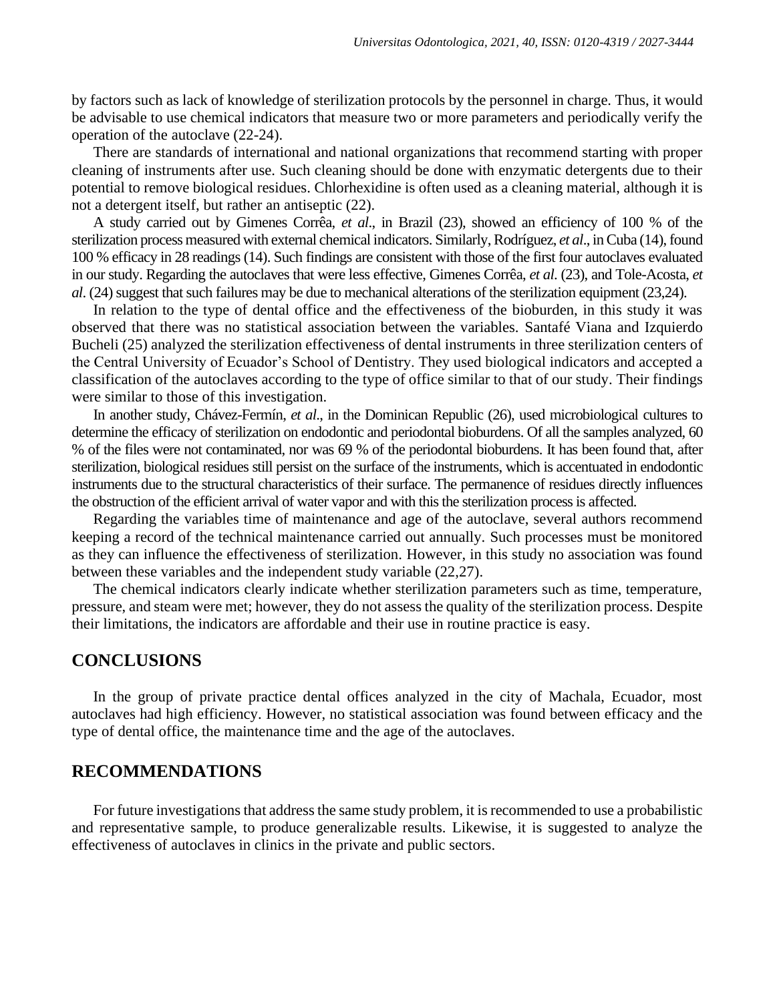by factors such as lack of knowledge of sterilization protocols by the personnel in charge. Thus, it would be advisable to use chemical indicators that measure two or more parameters and periodically verify the operation of the autoclave (22-24).

There are standards of international and national organizations that recommend starting with proper cleaning of instruments after use. Such cleaning should be done with enzymatic detergents due to their potential to remove biological residues. Chlorhexidine is often used as a cleaning material, although it is not a detergent itself, but rather an antiseptic (22).

A study carried out by Gimenes Corrêa, *et al*., in Brazil (23), showed an efficiency of 100 % of the sterilization process measured with external chemical indicators. Similarly, Rodríguez, *et al*., in Cuba (14), found 100 % efficacy in 28 readings (14). Such findings are consistent with those of the first four autoclaves evaluated in our study. Regarding the autoclaves that were less effective, Gimenes Corrêa, *et al*. (23), and Tole-Acosta, *et al*. (24) suggest that such failures may be due to mechanical alterations of the sterilization equipment (23,24).

In relation to the type of dental office and the effectiveness of the bioburden, in this study it was observed that there was no statistical association between the variables. Santafé Viana and Izquierdo Bucheli (25) analyzed the sterilization effectiveness of dental instruments in three sterilization centers of the Central University of Ecuador's School of Dentistry. They used biological indicators and accepted a classification of the autoclaves according to the type of office similar to that of our study. Their findings were similar to those of this investigation.

In another study, Chávez-Fermín, *et al*., in the Dominican Republic (26), used microbiological cultures to determine the efficacy of sterilization on endodontic and periodontal bioburdens. Of all the samples analyzed, 60 % of the files were not contaminated, nor was 69 % of the periodontal bioburdens. It has been found that, after sterilization, biological residues still persist on the surface of the instruments, which is accentuated in endodontic instruments due to the structural characteristics of their surface. The permanence of residues directly influences the obstruction of the efficient arrival of water vapor and with this the sterilization process is affected.

Regarding the variables time of maintenance and age of the autoclave, several authors recommend keeping a record of the technical maintenance carried out annually. Such processes must be monitored as they can influence the effectiveness of sterilization. However, in this study no association was found between these variables and the independent study variable (22,27).

The chemical indicators clearly indicate whether sterilization parameters such as time, temperature, pressure, and steam were met; however, they do not assess the quality of the sterilization process. Despite their limitations, the indicators are affordable and their use in routine practice is easy.

## **CONCLUSIONS**

In the group of private practice dental offices analyzed in the city of Machala, Ecuador, most autoclaves had high efficiency. However, no statistical association was found between efficacy and the type of dental office, the maintenance time and the age of the autoclaves.

# **RECOMMENDATIONS**

For future investigations that address the same study problem, it is recommended to use a probabilistic and representative sample, to produce generalizable results. Likewise, it is suggested to analyze the effectiveness of autoclaves in clinics in the private and public sectors.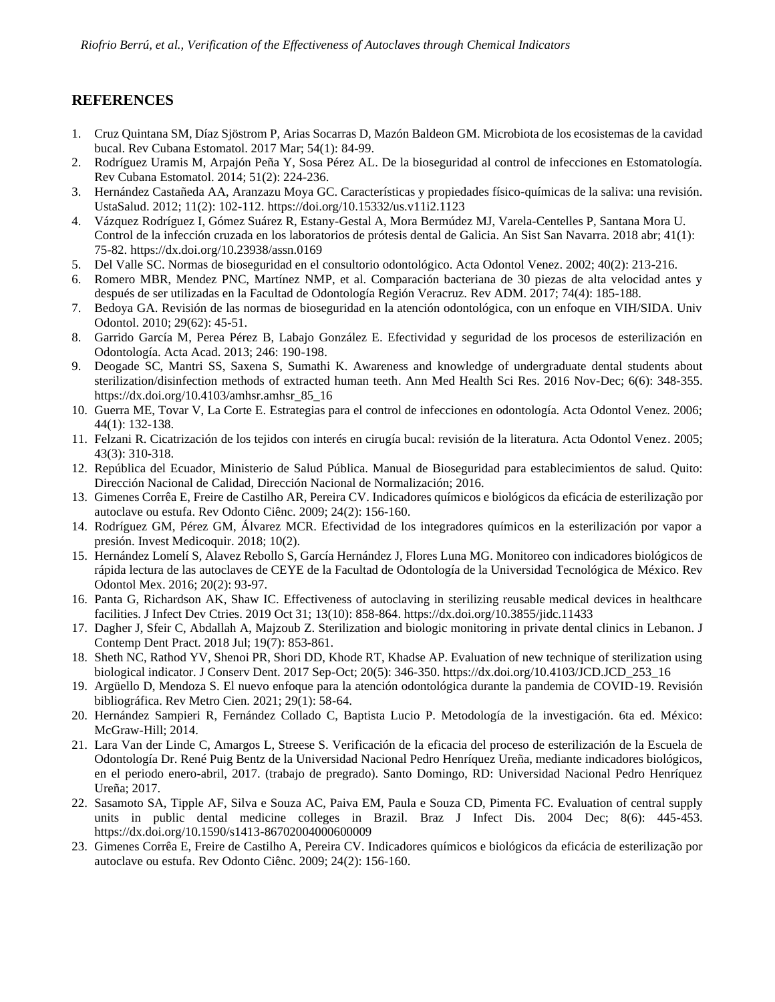# **REFERENCES**

- 1. Cruz Quintana SM, Díaz Sjöstrom P, Arias Socarras D, Mazón Baldeon GM. Microbiota de los ecosistemas de la cavidad bucal. Rev Cubana Estomatol. 2017 Mar; 54(1): 84-99.
- 2. Rodríguez Uramis M, Arpajón Peña Y, Sosa Pérez AL. De la bioseguridad al control de infecciones en Estomatología. Rev Cubana Estomatol. 2014; 51(2): 224-236.
- 3. Hernández Castañeda AA, Aranzazu Moya GC. Características y propiedades físico-químicas de la saliva: una revisión. UstaSalud. 2012; 11(2): 102-112.<https://doi.org/10.15332/us.v11i2.1123>
- 4. Vázquez Rodríguez I, Gómez Suárez R, Estany-Gestal A, Mora Bermúdez MJ, Varela-Centelles P, Santana Mora U. Control de la infección cruzada en los laboratorios de prótesis dental de Galicia. An Sist San Navarra. 2018 abr; 41(1): 75-82.<https://dx.doi.org/10.23938/assn.0169>
- 5. Del Valle SC. Normas de bioseguridad en el consultorio odontológico. Acta Odontol Venez. 2002; 40(2): 213-216.
- 6. Romero MBR, Mendez PNC, Martínez NMP, et al. Comparación bacteriana de 30 piezas de alta velocidad antes y después de ser utilizadas en la Facultad de Odontología Región Veracruz. Rev ADM. 2017; 74(4): 185-188.
- 7. Bedoya GA. Revisión de las normas de bioseguridad en la atención odontológica, con un enfoque en VIH/SIDA. Univ Odontol. 2010; 29(62): 45-51.
- 8. Garrido García M, Perea Pérez B, Labajo González E. Efectividad y seguridad de los procesos de esterilización en Odontología. Acta Acad. 2013; 246: 190-198.
- 9. Deogade SC, Mantri SS, Saxena S, Sumathi K. Awareness and knowledge of undergraduate dental students about sterilization/disinfection methods of extracted human teeth. Ann Med Health Sci Res. 2016 Nov-Dec; 6(6): 348-355. [https://dx.doi.org/10.4103/amhsr.amhsr\\_85\\_16](https://dx.doi.org/10.4103/amhsr.amhsr_85_16)
- 10. Guerra ME, Tovar V, La Corte E. Estrategias para el control de infecciones en odontología. Acta Odontol Venez. 2006; 44(1): 132-138.
- 11. Felzani R. Cicatrización de los tejidos con interés en cirugía bucal: revisión de la literatura. Acta Odontol Venez. 2005; 43(3): 310-318.
- 12. República del Ecuador, Ministerio de Salud Pública. Manual de Bioseguridad para establecimientos de salud. Quito: Dirección Nacional de Calidad, Dirección Nacional de Normalización; 2016.
- 13. Gimenes Corrêa E, Freire de Castilho AR, Pereira CV. Indicadores químicos e biológicos da eficácia de esterilização por autoclave ou estufa. Rev Odonto Ciênc. 2009; 24(2): 156-160.
- 14. Rodríguez GM, Pérez GM, Álvarez MCR. Efectividad de los integradores químicos en la esterilización por vapor a presión. Invest Medicoquir. 2018; 10(2).
- 15. Hernández Lomelí S, Alavez Rebollo S, García Hernández J, Flores Luna MG. Monitoreo con indicadores biológicos de rápida lectura de las autoclaves de CEYE de la Facultad de Odontología de la Universidad Tecnológica de México. Rev Odontol Mex. 2016; 20(2): 93-97.
- 16. Panta G, Richardson AK, Shaw IC. Effectiveness of autoclaving in sterilizing reusable medical devices in healthcare facilities. J Infect Dev Ctries. 2019 Oct 31; 13(10): 858-864.<https://dx.doi.org/10.3855/jidc.11433>
- 17. Dagher J, Sfeir C, Abdallah A, Majzoub Z. Sterilization and biologic monitoring in private dental clinics in Lebanon. J Contemp Dent Pract. 2018 Jul; 19(7): 853-861.
- 18. Sheth NC, Rathod YV, Shenoi PR, Shori DD, Khode RT, Khadse AP. Evaluation of new technique of sterilization using biological indicator. J Conserv Dent. 2017 Sep-Oct; 20(5): 346-350. [https://dx.doi.org/10.4103/JCD.JCD\\_253\\_16](https://dx.doi.org/10.4103/JCD.JCD_253_16)
- 19. Argüello D, Mendoza S. El nuevo enfoque para la atención odontológica durante la pandemia de COVID-19. Revisión bibliográfica. Rev Metro Cien. 2021; 29(1): 58-64.
- 20. Hernández Sampieri R, Fernández Collado C, Baptista Lucio P. Metodología de la investigación. 6ta ed. México: McGraw-Hill; 2014.
- 21. Lara Van der Linde C, Amargos L, Streese S. Verificación de la eficacia del proceso de esterilización de la Escuela de Odontología Dr. René Puig Bentz de la Universidad Nacional Pedro Henríquez Ureña, mediante indicadores biológicos, en el periodo enero-abril, 2017. (trabajo de pregrado). Santo Domingo, RD: Universidad Nacional Pedro Henríquez Ureña; 2017.
- 22. Sasamoto SA, Tipple AF, Silva e Souza AC, Paiva EM, Paula e Souza CD, Pimenta FC. Evaluation of central supply units in public dental medicine colleges in Brazil. Braz J Infect Dis. 2004 Dec; 8(6): 445-453. <https://dx.doi.org/10.1590/s1413-86702004000600009>
- 23. Gimenes Corrêa E, Freire de Castilho A, Pereira CV. Indicadores químicos e biológicos da eficácia de esterilização por autoclave ou estufa. Rev Odonto Ciênc. 2009; 24(2): 156-160.